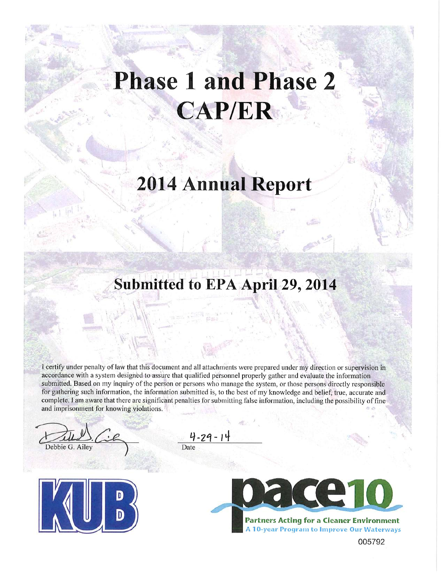# **Phase 1 and Phase 2 CAP/ER**

# **2014 Annual Report**

## Submitted to EPA April 29, 2014

I certify under penalty of law that this document and all attachments were prepared under my direction or supervision in accordance with a system designed to assure that qualified personnel properly gather and evaluate the information submitted. Based on my inquiry of the person or persons who manage the system, or those persons directly responsible for gathering such information, the information submitted is, to the best of my knowledge and belief, true, accurate and complete. I am aware that there are significant penalties for submitting false information, including the possibility of fine and imprisonment for knowing violations.

Debbie G. Ailey



 $4 - 29 - 1$ Date



005792